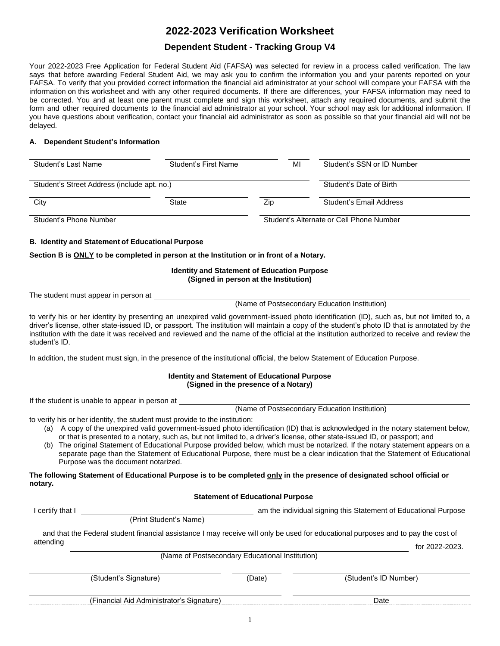# **2022-2023 Verification Worksheet**

## **Dependent Student - Tracking Group V4**

Your 2022-2023 Free Application for Federal Student Aid (FAFSA) was selected for review in a process called verification. The law says that before awarding Federal Student Aid, we may ask you to confirm the information you and your parents reported on your FAFSA. To verify that you provided correct information the financial aid administrator at your school will compare your FAFSA with the information on this worksheet and with any other required documents. If there are differences, your FAFSA information may need to be corrected. You and at least one parent must complete and sign this worksheet, attach any required documents, and submit the form and other required documents to the financial aid administrator at your school. Your school may ask for additional information. If you have questions about verification, contact your financial aid administrator as soon as possible so that your financial aid will not be delayed.

#### **A. Dependent Student's Information**

| Student's Last Name                         | Student's First Name | MI  | Student's SSN or ID Number               |
|---------------------------------------------|----------------------|-----|------------------------------------------|
| Student's Street Address (include apt. no.) |                      |     | Student's Date of Birth                  |
| City                                        | State                | Zip | Student's Email Address                  |
| Student's Phone Number                      |                      |     | Student's Alternate or Cell Phone Number |

#### **B. Identity and Statement of Educational Purpose**

**Section B is ONLY to be completed in person at the Institution or in front of a Notary.** 

#### **Identity and Statement of Education Purpose (Signed in person at the Institution)**

The student must appear in person at

(Name of Postsecondary Education Institution)

 to verify his or her identity by presenting an unexpired valid government-issued photo identification (ID), such as, but not limited to, a driver's license, other state-issued ID, or passport. The institution will maintain a copy of the student's photo ID that is annotated by the institution with the date it was received and reviewed and the name of the official at the institution authorized to receive and review the student's ID.

In addition, the student must sign, in the presence of the institutional official, the below Statement of Education Purpose.

#### **Identity and Statement of Educational Purpose (Signed in the presence of a Notary)**

If the student is unable to appear in person at

(Name of Postsecondary Education Institution)

to verify his or her identity, the student must provide to the institution:

- (a) A copy of the unexpired valid government-issued photo identification (ID) that is acknowledged in the notary statement below, or that is presented to a notary, such as, but not limited to, a driver's license, other state-issued ID, or passport; and
- (b) The original Statement of Educational Purpose provided below, which must be notarized. If the notary statement appears on a separate page than the Statement of Educational Purpose, there must be a clear indication that the Statement of Educational Purpose was the document notarized.

#### **The following Statement of Educational Purpose is to be completed only in the presence of designated school official or notary.**

#### **Statement of Educational Purpose**

| l certify that I                                | (Print Student's Name) |        | am the individual signing this Statement of Educational Purpose                                                                                     |  |  |  |  |
|-------------------------------------------------|------------------------|--------|-----------------------------------------------------------------------------------------------------------------------------------------------------|--|--|--|--|
| attending                                       |                        |        | and that the Federal student financial assistance I may receive will only be used for educational purposes and to pay the cost of<br>for 2022-2023. |  |  |  |  |
| (Name of Postsecondary Educational Institution) |                        |        |                                                                                                                                                     |  |  |  |  |
|                                                 | (Student's Signature)  | (Date) | (Student's ID Number)                                                                                                                               |  |  |  |  |
| (Financial Aid Administrator's Signature)       |                        | Date   |                                                                                                                                                     |  |  |  |  |